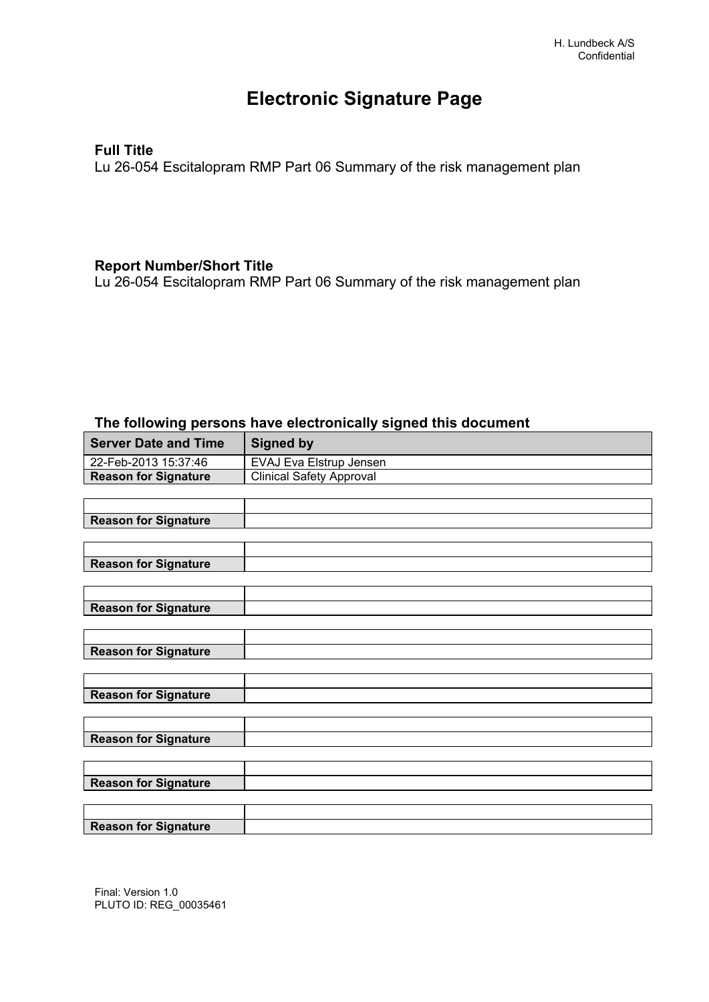# **Electronic Signature Page**

## **Full Title**

Lu 26-054 Escitalopram RMP Part 06 Summary of the risk management plan

## **Report Number/Short Title**

Lu 26-054 Escitalopram RMP Part 06 Summary of the risk management plan

#### **The following persons have electronically signed this document**

| <b>Server Date and Time</b> | <b>Signed by</b>                |
|-----------------------------|---------------------------------|
| 22-Feb-2013 15:37:46        | EVAJ Eva Elstrup Jensen         |
| <b>Reason for Signature</b> | <b>Clinical Safety Approval</b> |
|                             |                                 |
|                             |                                 |
| <b>Reason for Signature</b> |                                 |
|                             |                                 |
|                             |                                 |
| <b>Reason for Signature</b> |                                 |
|                             |                                 |
|                             |                                 |
| <b>Reason for Signature</b> |                                 |
|                             |                                 |
| <b>Reason for Signature</b> |                                 |
|                             |                                 |
|                             |                                 |
| <b>Reason for Signature</b> |                                 |
|                             |                                 |
|                             |                                 |
| <b>Reason for Signature</b> |                                 |
|                             |                                 |
|                             |                                 |
| <b>Reason for Signature</b> |                                 |
|                             |                                 |
|                             |                                 |
| <b>Reason for Signature</b> |                                 |

Final: Version 1.0 PLUTO ID: REG\_00035461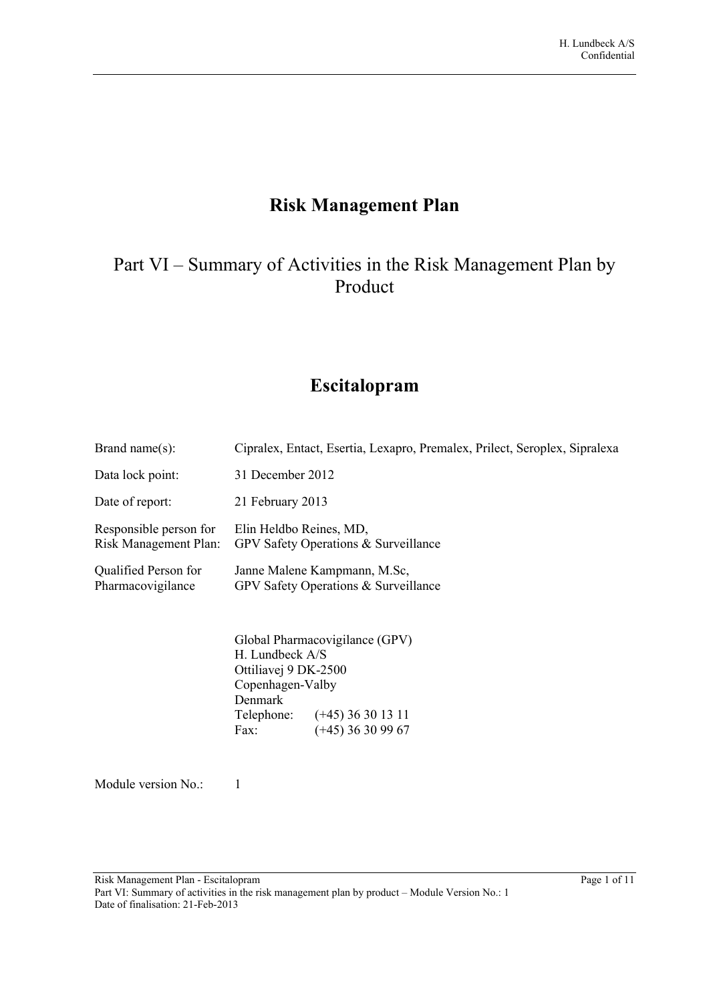# **Risk Management Plan**

# Part VI – Summary of Activities in the Risk Management Plan by Product

# **Escitalopram**

| Brand name $(s)$ :                              | Cipralex, Entact, Esertia, Lexapro, Premalex, Prilect, Seroplex, Sipralexa                                                                                              |
|-------------------------------------------------|-------------------------------------------------------------------------------------------------------------------------------------------------------------------------|
| Data lock point:                                | 31 December 2012                                                                                                                                                        |
| Date of report:                                 | 21 February 2013                                                                                                                                                        |
| Responsible person for<br>Risk Management Plan: | Elin Heldbo Reines, MD,<br>GPV Safety Operations & Surveillance                                                                                                         |
| Qualified Person for<br>Pharmacovigilance       | Janne Malene Kampmann, M.Sc.<br>GPV Safety Operations & Surveillance                                                                                                    |
|                                                 | Global Pharmacovigilance (GPV)<br>H. Lundbeck A/S<br>Ottiliavej 9 DK-2500<br>Copenhagen-Valby<br>Denmark<br>Telephone: (+45) 36 30 13 11<br>$(+45)$ 36 30 99 67<br>Fax: |

Module version No.: 1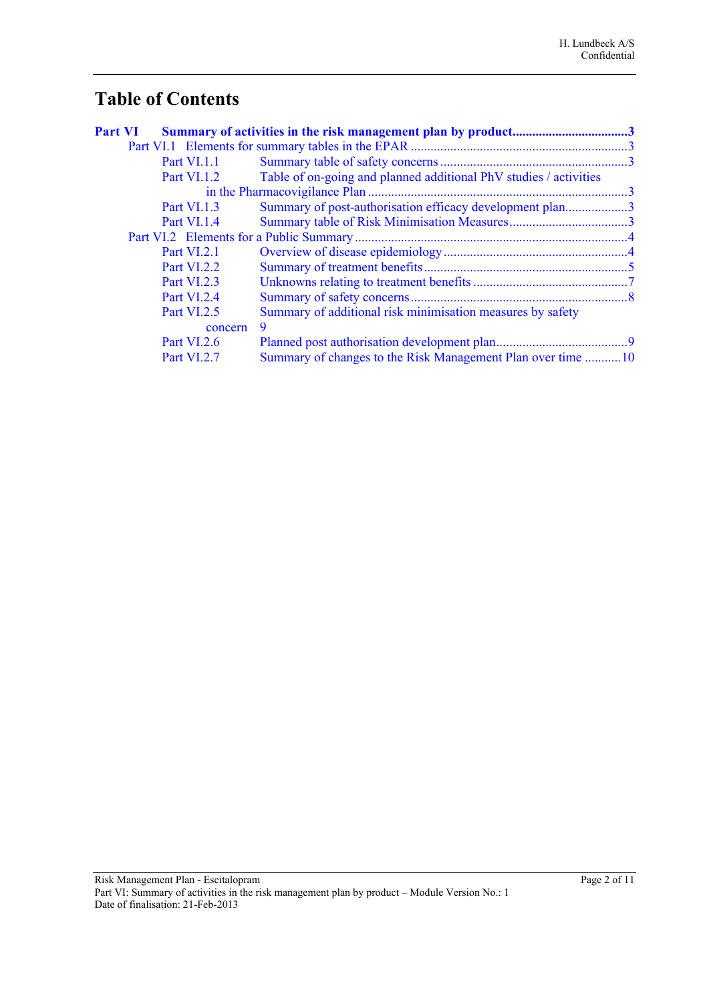# **Table of Contents**

| <b>Part VI</b> |                    | Summary of activities in the risk management plan by product3     |  |
|----------------|--------------------|-------------------------------------------------------------------|--|
|                |                    |                                                                   |  |
|                | <b>Part VI.1.1</b> |                                                                   |  |
|                | Part VI.1.2        | Table of on-going and planned additional PhV studies / activities |  |
|                |                    |                                                                   |  |
|                | <b>Part VI.1.3</b> | Summary of post-authorisation efficacy development plan3          |  |
|                | Part VI.1.4        |                                                                   |  |
|                |                    |                                                                   |  |
|                | Part VI.2.1        |                                                                   |  |
|                | <b>Part VI.2.2</b> |                                                                   |  |
|                | <b>Part VI.2.3</b> |                                                                   |  |
|                | Part VI.2.4        |                                                                   |  |
|                | <b>Part VI.2.5</b> | Summary of additional risk minimisation measures by safety        |  |
|                | concern            | 9                                                                 |  |
|                | <b>Part VI.2.6</b> |                                                                   |  |
|                | <b>Part VI.2.7</b> | Summary of changes to the Risk Management Plan over time 10       |  |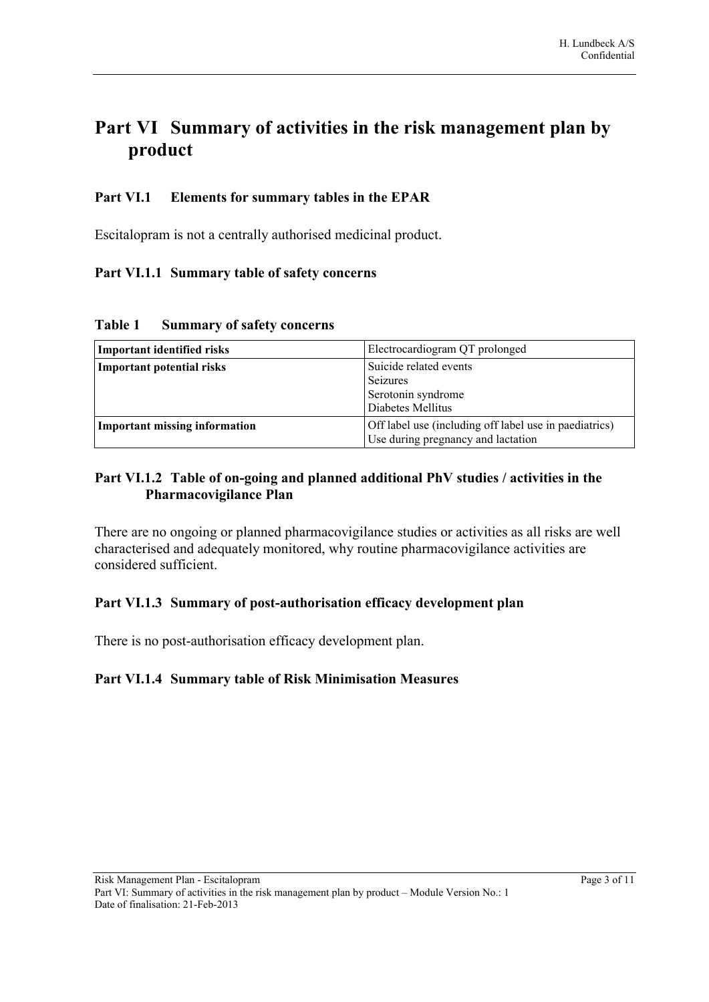# <span id="page-3-5"></span>**Part VI Summary of activities in the risk management plan by product**

# <span id="page-3-4"></span>**Part VI.1 Elements for summary tables in the EPAR**

<span id="page-3-3"></span>Escitalopram is not a centrally authorised medicinal product.

# **Part VI.1.1 Summary table of safety concerns**

**Table 1 Summary of safety concerns**

| Electrocardiogram QT prolonged<br>Important identified risks |                                                                                              |
|--------------------------------------------------------------|----------------------------------------------------------------------------------------------|
| Important potential risks                                    | Suicide related events<br>Seizures<br>Serotonin syndrome<br>Diabetes Mellitus                |
| Important missing information                                | Off label use (including off label use in paediatrics)<br>Use during pregnancy and lactation |

# <span id="page-3-6"></span><span id="page-3-2"></span>**Part VI.1.2 Table of on-going and planned additional PhV studies / activities in the Pharmacovigilance Plan**

There are no ongoing or planned pharmacovigilance studies or activities as all risks are well characterised and adequately monitored, why routine pharmacovigilance activities are considered sufficient.

# <span id="page-3-7"></span><span id="page-3-1"></span>**Part VI.1.3 Summary of post-authorisation efficacy development plan**

<span id="page-3-0"></span>There is no post-authorisation efficacy development plan.

## **Part VI.1.4 Summary table of Risk Minimisation Measures**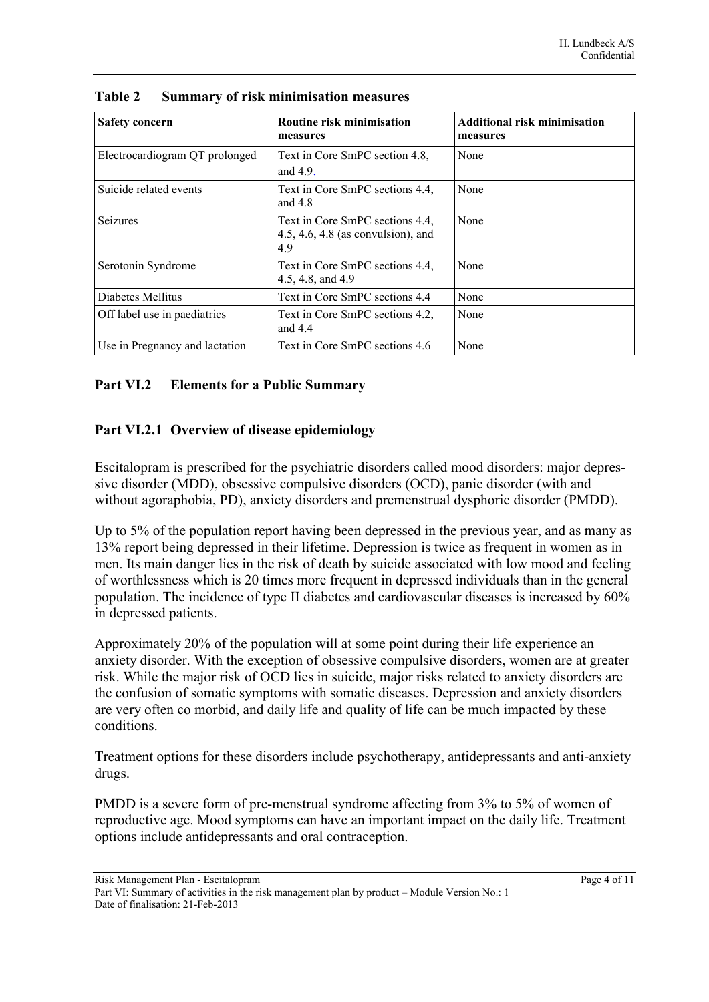| <b>Safety concern</b>          | Routine risk minimisation<br>measures                                        | <b>Additional risk minimisation</b><br>measures |
|--------------------------------|------------------------------------------------------------------------------|-------------------------------------------------|
| Electrocardiogram QT prolonged | Text in Core SmPC section 4.8,<br>and $4.9$ .                                | None                                            |
| Suicide related events         | Text in Core SmPC sections 4.4,<br>and $4.8$                                 | None                                            |
| <b>Seizures</b>                | Text in Core SmPC sections 4.4.<br>4.5, 4.6, 4.8 (as convulsion), and<br>4.9 | None                                            |
| Serotonin Syndrome             | Text in Core SmPC sections 4.4.<br>4.5, 4.8, and 4.9                         | None                                            |
| Diabetes Mellitus              | Text in Core SmPC sections 4.4                                               | None                                            |
| Off label use in paediatrics   | Text in Core SmPC sections 4.2.<br>and $4.4$                                 | None                                            |
| Use in Pregnancy and lactation | Text in Core SmPC sections 4.6                                               | None                                            |

| Table 2 |  | <b>Summary of risk minimisation measures</b> |  |
|---------|--|----------------------------------------------|--|
|         |  |                                              |  |

## <span id="page-4-1"></span>**Part VI.2 Elements for a Public Summary**

# <span id="page-4-0"></span>**Part VI.2.1 Overview of disease epidemiology**

Escitalopram is prescribed for the psychiatric disorders called mood disorders: major depressive disorder (MDD), obsessive compulsive disorders (OCD), panic disorder (with and without agoraphobia, PD), anxiety disorders and premenstrual dysphoric disorder (PMDD).

Up to 5% of the population report having been depressed in the previous year, and as many as 13% report being depressed in their lifetime. Depression is twice as frequent in women as in men. Its main danger lies in the risk of death by suicide associated with low mood and feeling of worthlessness which is 20 times more frequent in depressed individuals than in the general population. The incidence of type II diabetes and cardiovascular diseases is increased by 60% in depressed patients.

Approximately 20% of the population will at some point during their life experience an anxiety disorder. With the exception of obsessive compulsive disorders, women are at greater risk. While the major risk of OCD lies in suicide, major risks related to anxiety disorders are the confusion of somatic symptoms with somatic diseases. Depression and anxiety disorders are very often co morbid, and daily life and quality of life can be much impacted by these conditions.

Treatment options for these disorders include psychotherapy, antidepressants and anti-anxiety drugs.

PMDD is a severe form of pre-menstrual syndrome affecting from 3% to 5% of women of reproductive age. Mood symptoms can have an important impact on the daily life. Treatment options include antidepressants and oral contraception.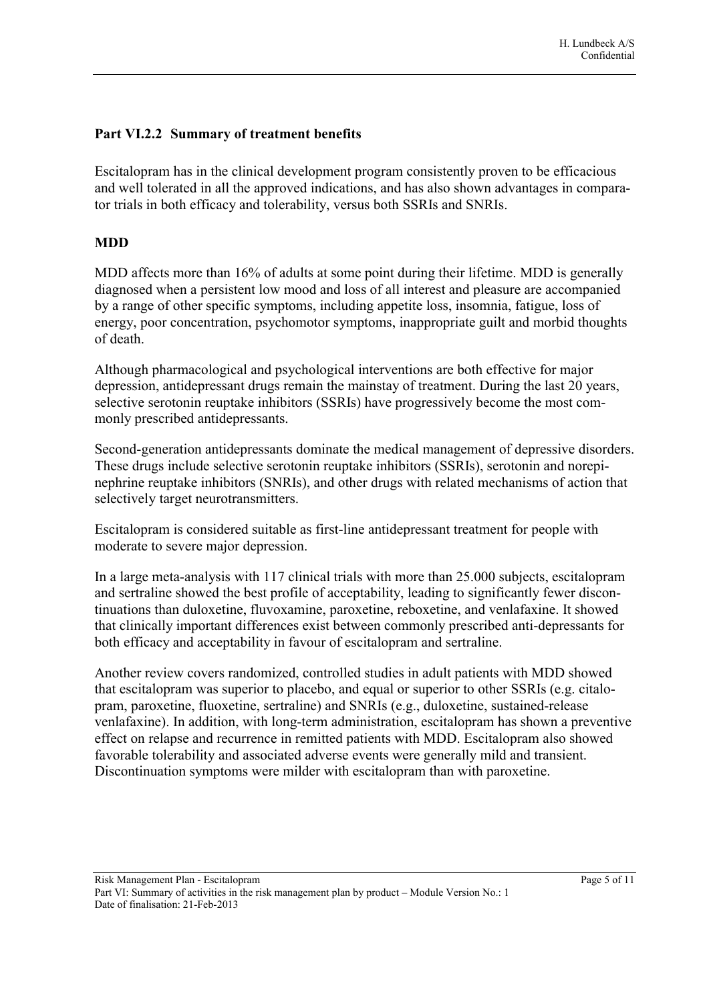# <span id="page-5-0"></span>**Part VI.2.2 Summary of treatment benefits**

Escitalopram has in the clinical development program consistently proven to be efficacious and well tolerated in all the approved indications, and has also shown advantages in comparator trials in both efficacy and tolerability, versus both SSRIs and SNRIs.

#### **MDD**

MDD affects more than 16% of adults at some point during their lifetime. MDD is generally diagnosed when a persistent low mood and loss of all interest and pleasure are accompanied by a range of other specific symptoms, including appetite loss, insomnia, fatigue, loss of energy, poor concentration, psychomotor symptoms, inappropriate guilt and morbid thoughts of death.

Although pharmacological and psychological interventions are both effective for major depression, antidepressant drugs remain the mainstay of treatment. During the last 20 years, selective serotonin reuptake inhibitors (SSRIs) have progressively become the most commonly prescribed antidepressants.

Second-generation antidepressants dominate the medical management of depressive disorders. These drugs include selective serotonin reuptake inhibitors (SSRIs), serotonin and norepinephrine reuptake inhibitors (SNRIs), and other drugs with related mechanisms of action that selectively target neurotransmitters.

Escitalopram is considered suitable as first-line antidepressant treatment for people with moderate to severe major depression.

In a large meta-analysis with 117 clinical trials with more than 25.000 subjects, escitalopram and sertraline showed the best profile of acceptability, leading to significantly fewer discontinuations than duloxetine, fluvoxamine, paroxetine, reboxetine, and venlafaxine. It showed that clinically important differences exist between commonly prescribed anti-depressants for both efficacy and acceptability in favour of escitalopram and sertraline.

Another review covers randomized, controlled studies in adult patients with MDD showed that escitalopram was superior to placebo, and equal or superior to other SSRIs (e.g. citalopram, paroxetine, fluoxetine, sertraline) and SNRIs (e.g., duloxetine, sustained-release venlafaxine). In addition, with long-term administration, escitalopram has shown a preventive effect on relapse and recurrence in remitted patients with MDD. Escitalopram also showed favorable tolerability and associated adverse events were generally mild and transient. Discontinuation symptoms were milder with escitalopram than with paroxetine.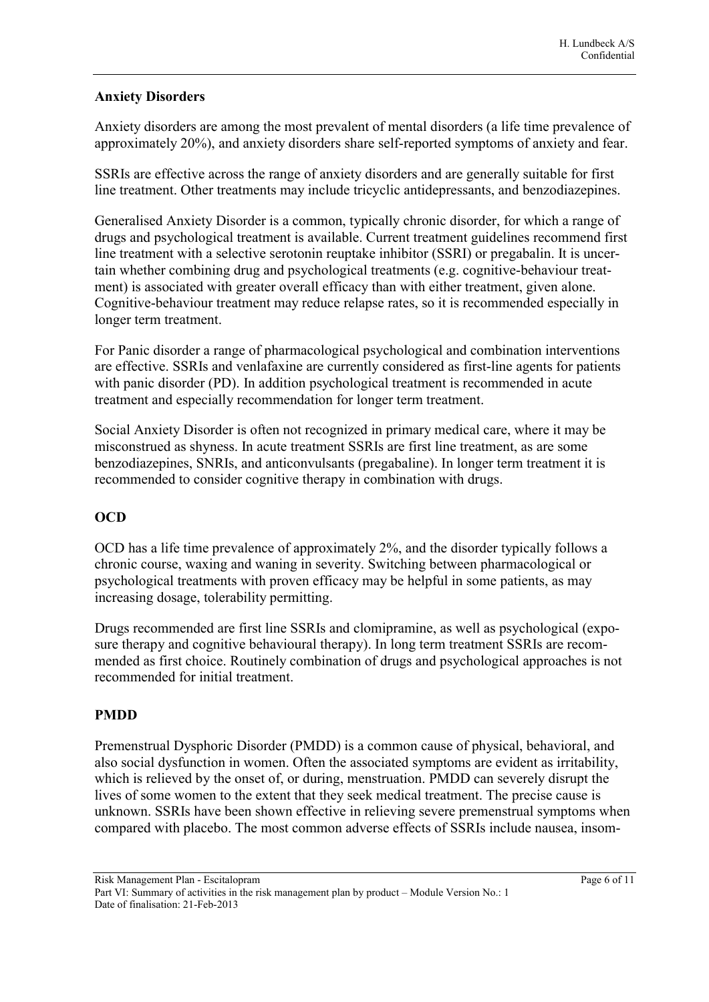#### **Anxiety Disorders**

Anxiety disorders are among the most prevalent of mental disorders (a life time prevalence of approximately 20%), and anxiety disorders share self-reported symptoms of anxiety and fear.

SSRIs are effective across the range of anxiety disorders and are generally suitable for first line treatment. Other treatments may include tricyclic antidepressants, and benzodiazepines.

Generalised Anxiety Disorder is a common, typically chronic disorder, for which a range of drugs and psychological treatment is available. Current treatment guidelines recommend first line treatment with a selective serotonin reuptake inhibitor (SSRI) or pregabalin. It is uncertain whether combining drug and psychological treatments (e.g. cognitive-behaviour treatment) is associated with greater overall efficacy than with either treatment, given alone. Cognitive-behaviour treatment may reduce relapse rates, so it is recommended especially in longer term treatment.

For Panic disorder a range of pharmacological psychological and combination interventions are effective. SSRIs and venlafaxine are currently considered as first-line agents for patients with panic disorder (PD). In addition psychological treatment is recommended in acute treatment and especially recommendation for longer term treatment.

Social Anxiety Disorder is often not recognized in primary medical care, where it may be misconstrued as shyness. In acute treatment SSRIs are first line treatment, as are some benzodiazepines, SNRIs, and anticonvulsants (pregabaline). In longer term treatment it is recommended to consider cognitive therapy in combination with drugs.

## **OCD**

OCD has a life time prevalence of approximately 2%, and the disorder typically follows a chronic course, waxing and waning in severity. Switching between pharmacological or psychological treatments with proven efficacy may be helpful in some patients, as may increasing dosage, tolerability permitting.

Drugs recommended are first line SSRIs and clomipramine, as well as psychological (exposure therapy and cognitive behavioural therapy). In long term treatment SSRIs are recommended as first choice. Routinely combination of drugs and psychological approaches is not recommended for initial treatment.

## **PMDD**

Premenstrual Dysphoric Disorder (PMDD) is a common cause of physical, behavioral, and also social dysfunction in women. Often the associated symptoms are evident as irritability, which is relieved by the onset of, or during, menstruation. PMDD can severely disrupt the lives of some women to the extent that they seek medical treatment. The precise cause is unknown. SSRIs have been shown effective in relieving severe premenstrual symptoms when compared with placebo. The most common adverse effects of SSRIs include nausea, insom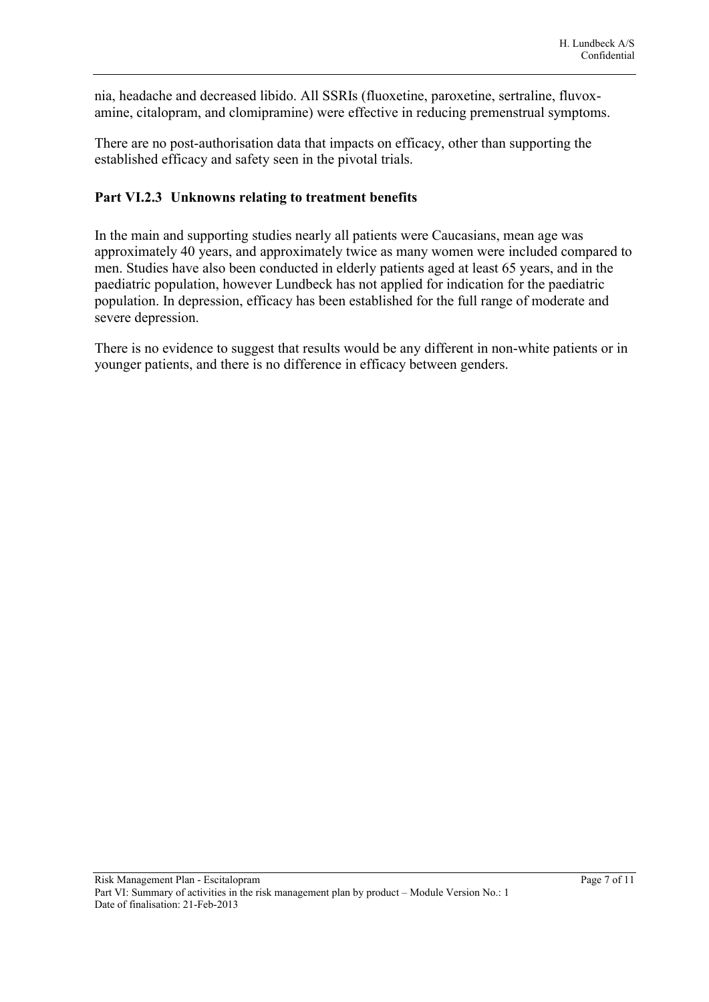nia, headache and decreased libido. All SSRIs (fluoxetine, paroxetine, sertraline, fluvoxamine, citalopram, and clomipramine) were effective in reducing premenstrual symptoms.

There are no post-authorisation data that impacts on efficacy, other than supporting the established efficacy and safety seen in the pivotal trials.

#### <span id="page-7-1"></span><span id="page-7-0"></span>**Part VI.2.3 Unknowns relating to treatment benefits**

In the main and supporting studies nearly all patients were Caucasians, mean age was approximately 40 years, and approximately twice as many women were included compared to men. Studies have also been conducted in elderly patients aged at least 65 years, and in the paediatric population, however Lundbeck has not applied for indication for the paediatric population. In depression, efficacy has been established for the full range of moderate and severe depression.

There is no evidence to suggest that results would be any different in non-white patients or in younger patients, and there is no difference in efficacy between genders.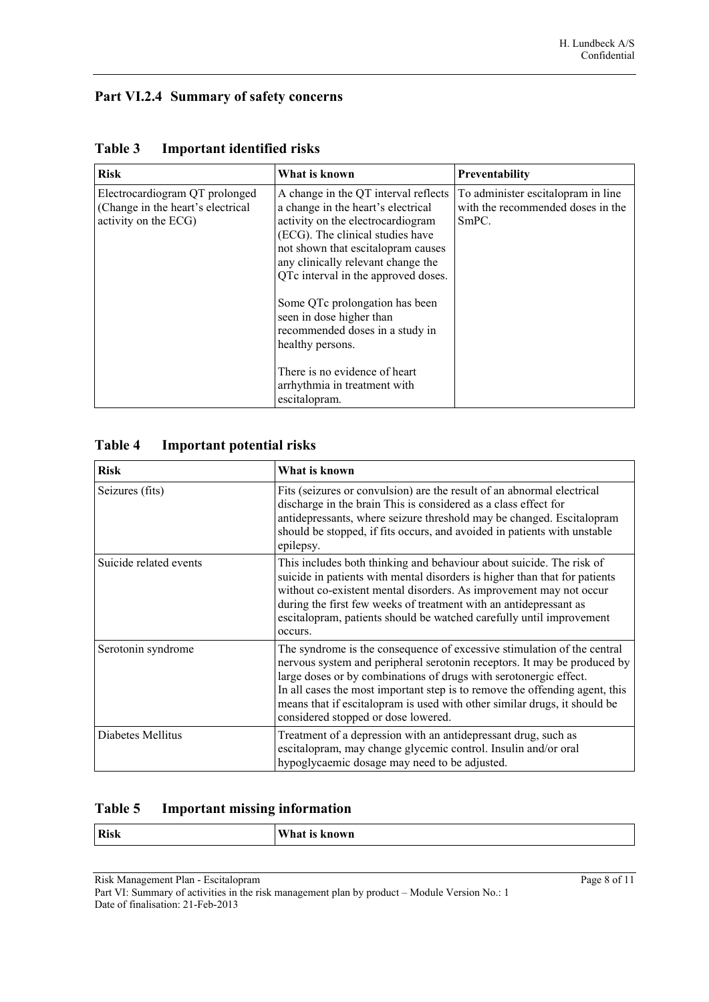# <span id="page-8-0"></span>**Part VI.2.4 Summary of safety concerns**

| <b>Risk</b>                                                                                 | What is known                                                                                                                                                                                                                                                                                                                                                                               | Preventability                                                                   |
|---------------------------------------------------------------------------------------------|---------------------------------------------------------------------------------------------------------------------------------------------------------------------------------------------------------------------------------------------------------------------------------------------------------------------------------------------------------------------------------------------|----------------------------------------------------------------------------------|
| Electrocardiogram QT prolonged<br>(Change in the heart's electrical<br>activity on the ECG) | A change in the QT interval reflects<br>a change in the heart's electrical<br>activity on the electrocardiogram<br>(ECG). The clinical studies have<br>not shown that escitalopram causes<br>any clinically relevant change the<br>QTc interval in the approved doses.<br>Some QTc prolongation has been<br>seen in dose higher than<br>recommended doses in a study in<br>healthy persons. | To administer escitalopram in line<br>with the recommended doses in the<br>SmPC. |
|                                                                                             | There is no evidence of heart<br>arrhythmia in treatment with<br>escitalopram.                                                                                                                                                                                                                                                                                                              |                                                                                  |

#### **Table 3 Important identified risks**

# **Table 4 Important potential risks**

| <b>Risk</b>            | What is known                                                                                                                                                                                                                                                                                                                                                                                                                |
|------------------------|------------------------------------------------------------------------------------------------------------------------------------------------------------------------------------------------------------------------------------------------------------------------------------------------------------------------------------------------------------------------------------------------------------------------------|
| Seizures (fits)        | Fits (seizures or convulsion) are the result of an abnormal electrical<br>discharge in the brain This is considered as a class effect for<br>antidepressants, where seizure threshold may be changed. Escitalopram<br>should be stopped, if fits occurs, and avoided in patients with unstable<br>epilepsy.                                                                                                                  |
| Suicide related events | This includes both thinking and behaviour about suicide. The risk of<br>suicide in patients with mental disorders is higher than that for patients<br>without co-existent mental disorders. As improvement may not occur<br>during the first few weeks of treatment with an antidepressant as<br>escitalopram, patients should be watched carefully until improvement<br>occurs.                                             |
| Serotonin syndrome     | The syndrome is the consequence of excessive stimulation of the central<br>nervous system and peripheral serotonin receptors. It may be produced by<br>large doses or by combinations of drugs with serotonergic effect.<br>In all cases the most important step is to remove the offending agent, this<br>means that if escital optam is used with other similar drugs, it should be<br>considered stopped or dose lowered. |
| Diabetes Mellitus      | Treatment of a depression with an antidepressant drug, such as<br>escitalopram, may change glycemic control. Insulin and/or oral<br>hypoglycaemic dosage may need to be adjusted.                                                                                                                                                                                                                                            |

# **Table 5 Important missing information**

| <b>Risk</b> | $\mathbf{X}$<br>T<br>wп<br> |
|-------------|-----------------------------|
|             |                             |

Risk Management Plan - Escitalopram Page 8 of 11

Part VI: Summary of activities in the risk management plan by product – Module Version No.: 1 Date of finalisation: 21-Feb-2013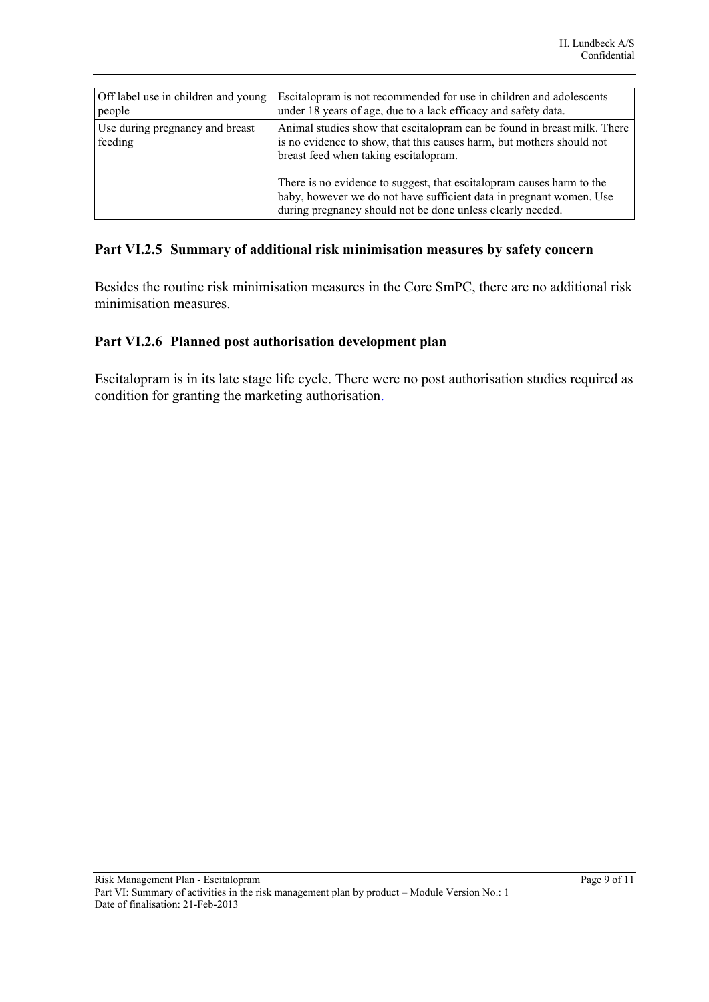| Off label use in children and young        | Escitalopram is not recommended for use in children and adolescents                                                                                                                                                                                                                                                                                                                                          |
|--------------------------------------------|--------------------------------------------------------------------------------------------------------------------------------------------------------------------------------------------------------------------------------------------------------------------------------------------------------------------------------------------------------------------------------------------------------------|
| people                                     | under 18 years of age, due to a lack efficacy and safety data.                                                                                                                                                                                                                                                                                                                                               |
| Use during pregnancy and breast<br>feeding | Animal studies show that escital opram can be found in breast milk. There<br>is no evidence to show, that this causes harm, but mothers should not<br>breast feed when taking escital optam.<br>There is no evidence to suggest, that escital optain causes harm to the<br>baby, however we do not have sufficient data in pregnant women. Use<br>during pregnancy should not be done unless clearly needed. |

#### <span id="page-9-2"></span><span id="page-9-1"></span>**Part VI.2.5 Summary of additional risk minimisation measures by safety concern**

Besides the routine risk minimisation measures in the Core SmPC, there are no additional risk minimisation measures.

#### <span id="page-9-0"></span>**Part VI.2.6 Planned post authorisation development plan**

Escitalopram is in its late stage life cycle. There were no post authorisation studies required as condition for granting the marketing authorisation.